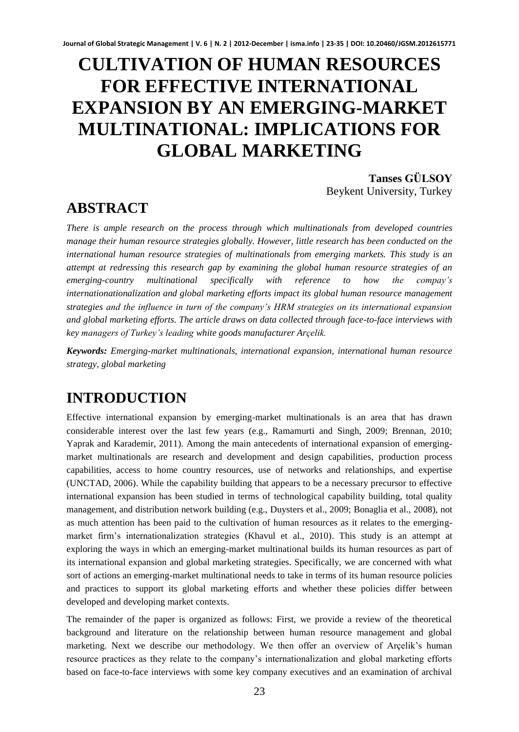# **CULTIVATION OF HUMAN RESOURCES FOR EFFECTIVE INTERNATIONAL EXPANSION BY AN EMERGING-MARKET MULTINATIONAL: IMPLICATIONS FOR GLOBAL MARKETING**

**Tanses GÜLSOY** Beykent University, Turkey

# **ABSTRACT**

*There is ample research on the process through which multinationals from developed countries manage their human resource strategies globally. However, little research has been conducted on the international human resource strategies of multinationals from emerging markets. This study is an attempt at redressing this research gap by examining the global human resource strategies of an emerging-country multinational specifically with reference to how the compay's internationationalization and global marketing efforts impact its global human resource management strategies and the influence in turn of the company's HRM strategies on its international expansion and global marketing efforts. The article draws on data collected through face-to-face interviews with key managers of Turkey's leading white goods manufacturer Arçelik.*

*Keywords: Emerging-market multinationals, international expansion, international human resource strategy, global marketing* 

# **INTRODUCTION**

Effective international expansion by emerging-market multinationals is an area that has drawn considerable interest over the last few years (e.g., Ramamurti and Singh, 2009; Brennan, 2010; Yaprak and Karademir, 2011). Among the main antecedents of international expansion of emergingmarket multinationals are research and development and design capabilities, production process capabilities, access to home country resources, use of networks and relationships, and expertise (UNCTAD, 2006). While the capability building that appears to be a necessary precursor to effective international expansion has been studied in terms of technological capability building, total quality management, and distribution network building (e.g., Duysters et al., 2009; Bonaglia et al., 2008), not as much attention has been paid to the cultivation of human resources as it relates to the emergingmarket firm's internationalization strategies (Khavul et al., 2010). This study is an attempt at exploring the ways in which an emerging-market multinational builds its human resources as part of its international expansion and global marketing strategies. Specifically, we are concerned with what sort of actions an emerging-market multinational needs to take in terms of its human resource policies and practices to support its global marketing efforts and whether these policies differ between developed and developing market contexts.

The remainder of the paper is organized as follows: First, we provide a review of the theoretical background and literature on the relationship between human resource management and global marketing. Next we describe our methodology. We then offer an overview of Arçelik's human resource practices as they relate to the company's internationalization and global marketing efforts based on face-to-face interviews with some key company executives and an examination of archival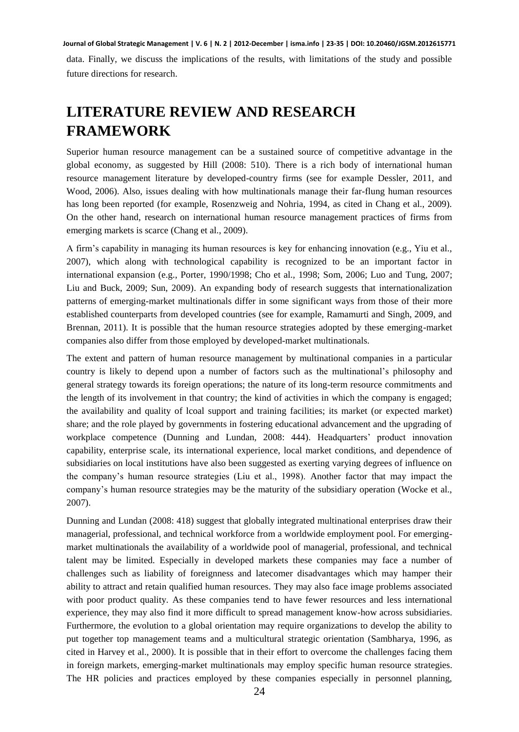data. Finally, we discuss the implications of the results, with limitations of the study and possible future directions for research.

# **LITERATURE REVIEW AND RESEARCH FRAMEWORK**

Superior human resource management can be a sustained source of competitive advantage in the global economy, as suggested by Hill (2008: 510). There is a rich body of international human resource management literature by developed-country firms (see for example Dessler, 2011, and Wood, 2006). Also, issues dealing with how multinationals manage their far-flung human resources has long been reported (for example, Rosenzweig and Nohria, 1994, as cited in Chang et al., 2009). On the other hand, research on international human resource management practices of firms from emerging markets is scarce (Chang et al., 2009).

A firm's capability in managing its human resources is key for enhancing innovation (e.g., Yiu et al., 2007), which along with technological capability is recognized to be an important factor in international expansion (e.g., Porter, 1990/1998; Cho et al., 1998; Som, 2006; Luo and Tung, 2007; Liu and Buck, 2009; Sun, 2009). An expanding body of research suggests that internationalization patterns of emerging-market multinationals differ in some significant ways from those of their more established counterparts from developed countries (see for example, Ramamurti and Singh, 2009, and Brennan, 2011). It is possible that the human resource strategies adopted by these emerging-market companies also differ from those employed by developed-market multinationals.

The extent and pattern of human resource management by multinational companies in a particular country is likely to depend upon a number of factors such as the multinational's philosophy and general strategy towards its foreign operations; the nature of its long-term resource commitments and the length of its involvement in that country; the kind of activities in which the company is engaged; the availability and quality of lcoal support and training facilities; its market (or expected market) share; and the role played by governments in fostering educational advancement and the upgrading of workplace competence (Dunning and Lundan, 2008: 444). Headquarters' product innovation capability, enterprise scale, its international experience, local market conditions, and dependence of subsidiaries on local institutions have also been suggested as exerting varying degrees of influence on the company's human resource strategies (Liu et al., 1998). Another factor that may impact the company's human resource strategies may be the maturity of the subsidiary operation (Wocke et al., 2007).

Dunning and Lundan (2008: 418) suggest that globally integrated multinational enterprises draw their managerial, professional, and technical workforce from a worldwide employment pool. For emergingmarket multinationals the availability of a worldwide pool of managerial, professional, and technical talent may be limited. Especially in developed markets these companies may face a number of challenges such as liability of foreignness and latecomer disadvantages which may hamper their ability to attract and retain qualified human resources. They may also face image problems associated with poor product quality. As these companies tend to have fewer resources and less international experience, they may also find it more difficult to spread management know-how across subsidiaries. Furthermore, the evolution to a global orientation may require organizations to develop the ability to put together top management teams and a multicultural strategic orientation (Sambharya, 1996, as cited in Harvey et al., 2000). It is possible that in their effort to overcome the challenges facing them in foreign markets, emerging-market multinationals may employ specific human resource strategies. The HR policies and practices employed by these companies especially in personnel planning,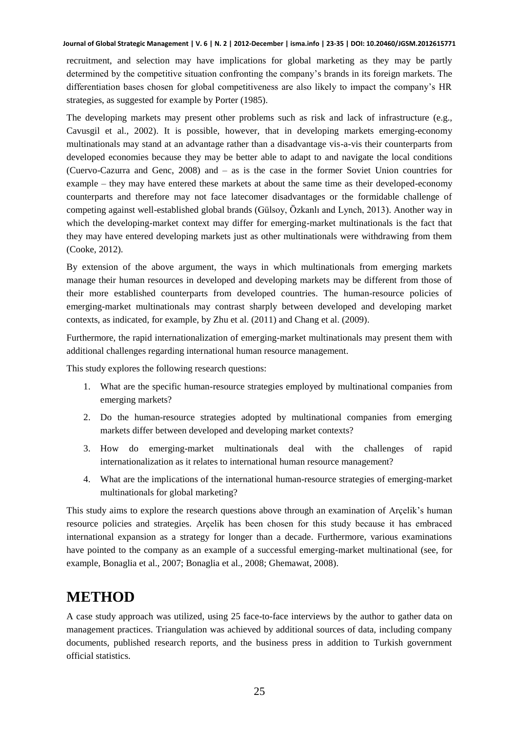recruitment, and selection may have implications for global marketing as they may be partly determined by the competitive situation confronting the company's brands in its foreign markets. The differentiation bases chosen for global competitiveness are also likely to impact the company's HR strategies, as suggested for example by Porter (1985).

The developing markets may present other problems such as risk and lack of infrastructure (e.g., Cavusgil et al., 2002). It is possible, however, that in developing markets emerging-economy multinationals may stand at an advantage rather than a disadvantage vis-a-vis their counterparts from developed economies because they may be better able to adapt to and navigate the local conditions (Cuervo-Cazurra and Genc, 2008) and – as is the case in the former Soviet Union countries for example – they may have entered these markets at about the same time as their developed-economy counterparts and therefore may not face latecomer disadvantages or the formidable challenge of competing against well-established global brands (Gülsoy, Özkanlı and Lynch, 2013). Another way in which the developing-market context may differ for emerging-market multinationals is the fact that they may have entered developing markets just as other multinationals were withdrawing from them (Cooke, 2012).

By extension of the above argument, the ways in which multinationals from emerging markets manage their human resources in developed and developing markets may be different from those of their more established counterparts from developed countries. The human-resource policies of emerging-market multinationals may contrast sharply between developed and developing market contexts, as indicated, for example, by Zhu et al. (2011) and Chang et al. (2009).

Furthermore, the rapid internationalization of emerging-market multinationals may present them with additional challenges regarding international human resource management.

This study explores the following research questions:

- 1. What are the specific human-resource strategies employed by multinational companies from emerging markets?
- 2. Do the human-resource strategies adopted by multinational companies from emerging markets differ between developed and developing market contexts?
- 3. How do emerging-market multinationals deal with the challenges of rapid internationalization as it relates to international human resource management?
- 4. What are the implications of the international human-resource strategies of emerging-market multinationals for global marketing?

This study aims to explore the research questions above through an examination of Arçelik's human resource policies and strategies. Arçelik has been chosen for this study because it has embraced international expansion as a strategy for longer than a decade. Furthermore, various examinations have pointed to the company as an example of a successful emerging-market multinational (see, for example, Bonaglia et al., 2007; Bonaglia et al., 2008; Ghemawat, 2008).

## **METHOD**

A case study approach was utilized, using 25 face-to-face interviews by the author to gather data on management practices. Triangulation was achieved by additional sources of data, including company documents, published research reports, and the business press in addition to Turkish government official statistics.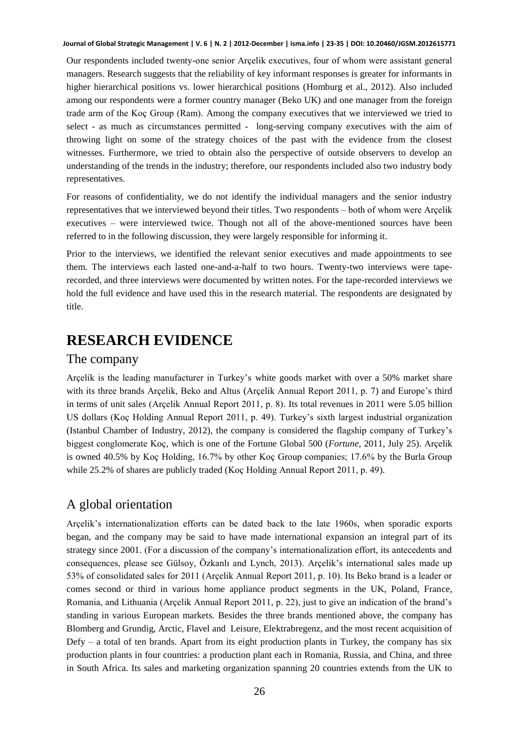Our respondents included twenty-one senior Arçelik executives, four of whom were assistant general managers. Research suggests that the reliability of key informant responses is greater for informants in higher hierarchical positions vs. lower hierarchical positions (Homburg et al., 2012). Also included among our respondents were a former country manager (Beko UK) and one manager from the foreign trade arm of the Koç Group (Ram). Among the company executives that we interviewed we tried to select - as much as circumstances permitted - long-serving company executives with the aim of throwing light on some of the strategy choices of the past with the evidence from the closest witnesses. Furthermore, we tried to obtain also the perspective of outside observers to develop an understanding of the trends in the industry; therefore, our respondents included also two industry body representatives.

For reasons of confidentiality, we do not identify the individual managers and the senior industry representatives that we interviewed beyond their titles. Two respondents – both of whom were Arçelik executives – were interviewed twice. Though not all of the above-mentioned sources have been referred to in the following discussion, they were largely responsible for informing it.

Prior to the interviews, we identified the relevant senior executives and made appointments to see them. The interviews each lasted one-and-a-half to two hours. Twenty-two interviews were taperecorded, and three interviews were documented by written notes. For the tape-recorded interviews we hold the full evidence and have used this in the research material. The respondents are designated by title.

## **RESEARCH EVIDENCE**

### The company

Arçelik is the leading manufacturer in Turkey's white goods market with over a 50% market share with its three brands Arçelik, Beko and Altus (Arçelik Annual Report 2011, p. 7) and Europe's third in terms of unit sales (Arçelik Annual Report 2011, p. 8). Its total revenues in 2011 were 5.05 billion US dollars (Koç Holding Annual Report 2011, p. 49). Turkey's sixth largest industrial organization (Istanbul Chamber of Industry, 2012), the company is considered the flagship company of Turkey's biggest conglomerate Koç, which is one of the Fortune Global 500 (*Fortune*, 2011, July 25). Arçelik is owned 40.5% by Koç Holding, 16.7% by other Koç Group companies; 17.6% by the Burla Group while 25.2% of shares are publicly traded (Koç Holding Annual Report 2011, p. 49).

## A global orientation

Arçelik's internationalization efforts can be dated back to the late 1960s, when sporadic exports began, and the company may be said to have made international expansion an integral part of its strategy since 2001. (For a discussion of the company's internationalization effort, its antecedents and consequences, please see Gülsoy, Özkanlı and Lynch, 2013). Arçelik's international sales made up 53% of consolidated sales for 2011 (Arçelik Annual Report 2011, p. 10). Its Beko brand is a leader or comes second or third in various home appliance product segments in the UK, Poland, France, Romania, and Lithuania (Arçelik Annual Report 2011, p. 22), just to give an indication of the brand's standing in various European markets. Besides the three brands mentioned above, the company has Blomberg and Grundig, Arctic, Flavel and Leisure, Elektrabregenz, and the most recent acquisition of  $Defy - a$  total of ten brands. Apart from its eight production plants in Turkey, the company has six production plants in four countries: a production plant each in Romania, Russia, and China, and three in South Africa. Its sales and marketing organization spanning 20 countries extends from the UK to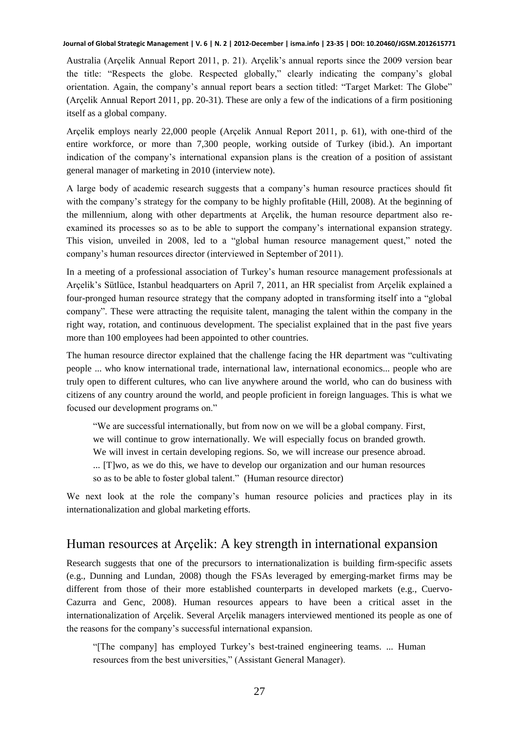Australia (Arçelik Annual Report 2011, p. 21). Arçelik's annual reports since the 2009 version bear the title: "Respects the globe. Respected globally," clearly indicating the company's global orientation. Again, the company's annual report bears a section titled: "Target Market: The Globe" (Arçelik Annual Report 2011, pp. 20-31). These are only a few of the indications of a firm positioning itself as a global company.

Arçelik employs nearly 22,000 people (Arçelik Annual Report 2011, p. 61), with one-third of the entire workforce, or more than 7,300 people, working outside of Turkey (ibid.). An important indication of the company's international expansion plans is the creation of a position of assistant general manager of marketing in 2010 (interview note).

A large body of academic research suggests that a company's human resource practices should fit with the company's strategy for the company to be highly profitable (Hill, 2008). At the beginning of the millennium, along with other departments at Arçelik, the human resource department also reexamined its processes so as to be able to support the company's international expansion strategy. This vision, unveiled in 2008, led to a "global human resource management quest," noted the company's human resources director (interviewed in September of 2011).

In a meeting of a professional association of Turkey's human resource management professionals at Arçelik's Sütlüce, Istanbul headquarters on April 7, 2011, an HR specialist from Arçelik explained a four-pronged human resource strategy that the company adopted in transforming itself into a "global company". These were attracting the requisite talent, managing the talent within the company in the right way, rotation, and continuous development. The specialist explained that in the past five years more than 100 employees had been appointed to other countries.

The human resource director explained that the challenge facing the HR department was "cultivating people ... who know international trade, international law, international economics... people who are truly open to different cultures, who can live anywhere around the world, who can do business with citizens of any country around the world, and people proficient in foreign languages. This is what we focused our development programs on."

"We are successful internationally, but from now on we will be a global company. First, we will continue to grow internationally. We will especially focus on branded growth. We will invest in certain developing regions. So, we will increase our presence abroad. ... [T]wo, as we do this, we have to develop our organization and our human resources so as to be able to foster global talent." (Human resource director)

We next look at the role the company's human resource policies and practices play in its internationalization and global marketing efforts.

### Human resources at Arçelik: A key strength in international expansion

Research suggests that one of the precursors to internationalization is building firm-specific assets (e.g., Dunning and Lundan, 2008) though the FSAs leveraged by emerging-market firms may be different from those of their more established counterparts in developed markets (e.g., Cuervo-Cazurra and Genc, 2008). Human resources appears to have been a critical asset in the internationalization of Arçelik. Several Arçelik managers interviewed mentioned its people as one of the reasons for the company's successful international expansion.

"[The company] has employed Turkey's best-trained engineering teams. ... Human resources from the best universities," (Assistant General Manager).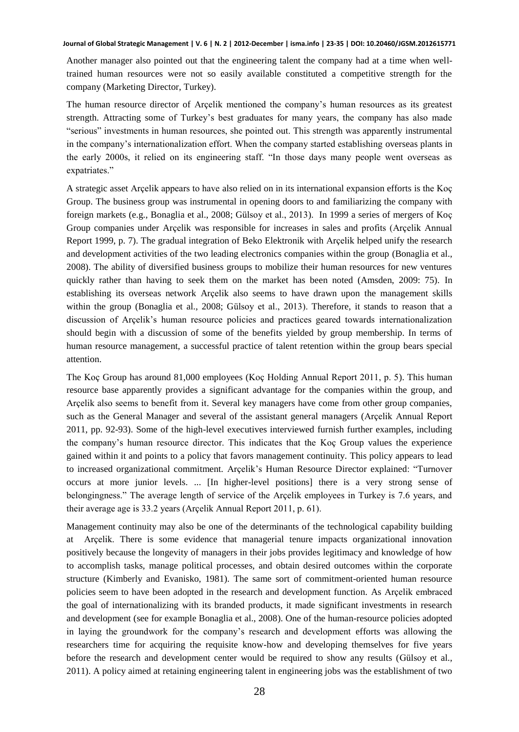Another manager also pointed out that the engineering talent the company had at a time when welltrained human resources were not so easily available constituted a competitive strength for the company (Marketing Director, Turkey).

The human resource director of Arçelik mentioned the company's human resources as its greatest strength. Attracting some of Turkey's best graduates for many years, the company has also made "serious" investments in human resources, she pointed out. This strength was apparently instrumental in the company's internationalization effort. When the company started establishing overseas plants in the early 2000s, it relied on its engineering staff. "In those days many people went overseas as expatriates."

A strategic asset Arçelik appears to have also relied on in its international expansion efforts is the Koç Group. The business group was instrumental in opening doors to and familiarizing the company with foreign markets (e.g., Bonaglia et al., 2008; Gülsoy et al., 2013). In 1999 a series of mergers of Koç Group companies under Arçelik was responsible for increases in sales and profits (Arçelik Annual Report 1999, p. 7). The gradual integration of Beko Elektronik with Arçelik helped unify the research and development activities of the two leading electronics companies within the group (Bonaglia et al., 2008). The ability of diversified business groups to mobilize their human resources for new ventures quickly rather than having to seek them on the market has been noted (Amsden, 2009: 75). In establishing its overseas network Arçelik also seems to have drawn upon the management skills within the group (Bonaglia et al., 2008; Gülsoy et al., 2013). Therefore, it stands to reason that a discussion of Arçelik's human resource policies and practices geared towards internationalization should begin with a discussion of some of the benefits yielded by group membership. In terms of human resource management, a successful practice of talent retention within the group bears special attention.

The Koç Group has around 81,000 employees (Koç Holding Annual Report 2011, p. 5). This human resource base apparently provides a significant advantage for the companies within the group, and Arçelik also seems to benefit from it. Several key managers have come from other group companies, such as the General Manager and several of the assistant general managers (Arçelik Annual Report 2011, pp. 92-93). Some of the high-level executives interviewed furnish further examples, including the company's human resource director. This indicates that the Koç Group values the experience gained within it and points to a policy that favors management continuity. This policy appears to lead to increased organizational commitment. Arçelik's Human Resource Director explained: "Turnover occurs at more junior levels. ... [In higher-level positions] there is a very strong sense of belongingness." The average length of service of the Arçelik employees in Turkey is 7.6 years, and their average age is 33.2 years (Arçelik Annual Report 2011, p. 61).

Management continuity may also be one of the determinants of the technological capability building at Arçelik. There is some evidence that managerial tenure impacts organizational innovation positively because the longevity of managers in their jobs provides legitimacy and knowledge of how to accomplish tasks, manage political processes, and obtain desired outcomes within the corporate structure (Kimberly and Evanisko, 1981). The same sort of commitment-oriented human resource policies seem to have been adopted in the research and development function. As Arçelik embraced the goal of internationalizing with its branded products, it made significant investments in research and development (see for example Bonaglia et al., 2008). One of the human-resource policies adopted in laying the groundwork for the company's research and development efforts was allowing the researchers time for acquiring the requisite know-how and developing themselves for five years before the research and development center would be required to show any results (Gülsoy et al., 2011). A policy aimed at retaining engineering talent in engineering jobs was the establishment of two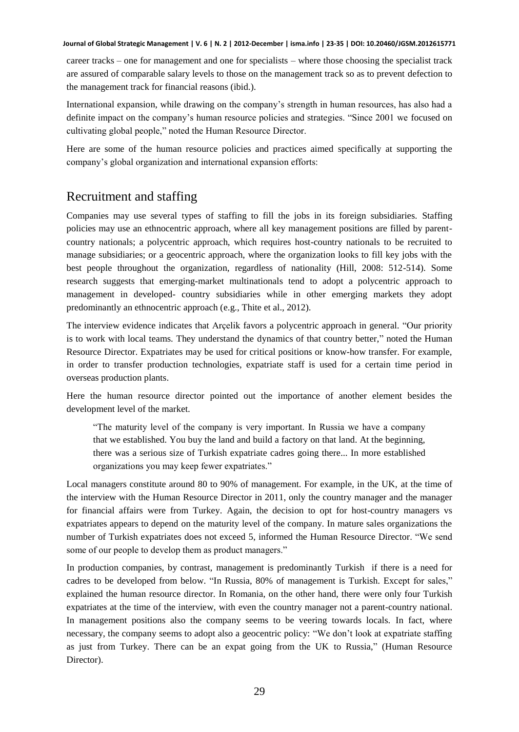career tracks – one for management and one for specialists – where those choosing the specialist track are assured of comparable salary levels to those on the management track so as to prevent defection to the management track for financial reasons (ibid.).

International expansion, while drawing on the company's strength in human resources, has also had a definite impact on the company's human resource policies and strategies. "Since 2001 we focused on cultivating global people," noted the Human Resource Director.

Here are some of the human resource policies and practices aimed specifically at supporting the company's global organization and international expansion efforts:

## Recruitment and staffing

Companies may use several types of staffing to fill the jobs in its foreign subsidiaries. Staffing policies may use an ethnocentric approach, where all key management positions are filled by parentcountry nationals; a polycentric approach, which requires host-country nationals to be recruited to manage subsidiaries; or a geocentric approach, where the organization looks to fill key jobs with the best people throughout the organization, regardless of nationality (Hill, 2008: 512-514). Some research suggests that emerging-market multinationals tend to adopt a polycentric approach to management in developed- country subsidiaries while in other emerging markets they adopt predominantly an ethnocentric approach (e.g., Thite et al., 2012).

The interview evidence indicates that Arçelik favors a polycentric approach in general. "Our priority is to work with local teams. They understand the dynamics of that country better," noted the Human Resource Director. Expatriates may be used for critical positions or know-how transfer. For example, in order to transfer production technologies, expatriate staff is used for a certain time period in overseas production plants.

Here the human resource director pointed out the importance of another element besides the development level of the market.

"The maturity level of the company is very important. In Russia we have a company that we established. You buy the land and build a factory on that land. At the beginning, there was a serious size of Turkish expatriate cadres going there... In more established organizations you may keep fewer expatriates."

Local managers constitute around 80 to 90% of management. For example, in the UK, at the time of the interview with the Human Resource Director in 2011, only the country manager and the manager for financial affairs were from Turkey. Again, the decision to opt for host-country managers vs expatriates appears to depend on the maturity level of the company. In mature sales organizations the number of Turkish expatriates does not exceed 5, informed the Human Resource Director. "We send some of our people to develop them as product managers."

In production companies, by contrast, management is predominantly Turkish if there is a need for cadres to be developed from below. "In Russia, 80% of management is Turkish. Except for sales," explained the human resource director. In Romania, on the other hand, there were only four Turkish expatriates at the time of the interview, with even the country manager not a parent-country national. In management positions also the company seems to be veering towards locals. In fact, where necessary, the company seems to adopt also a geocentric policy: "We don't look at expatriate staffing as just from Turkey. There can be an expat going from the UK to Russia," (Human Resource Director).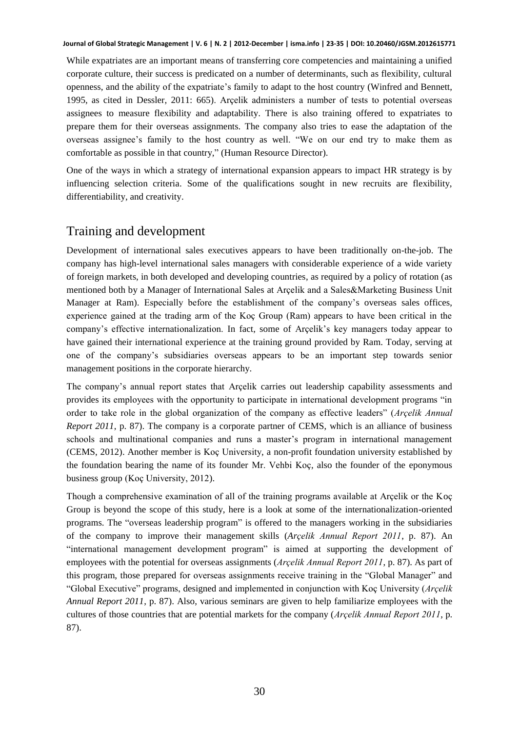While expatriates are an important means of transferring core competencies and maintaining a unified corporate culture, their success is predicated on a number of determinants, such as flexibility, cultural openness, and the ability of the expatriate's family to adapt to the host country (Winfred and Bennett, 1995, as cited in Dessler, 2011: 665). Arçelik administers a number of tests to potential overseas assignees to measure flexibility and adaptability. There is also training offered to expatriates to prepare them for their overseas assignments. The company also tries to ease the adaptation of the overseas assignee's family to the host country as well. "We on our end try to make them as comfortable as possible in that country," (Human Resource Director).

One of the ways in which a strategy of international expansion appears to impact HR strategy is by influencing selection criteria. Some of the qualifications sought in new recruits are flexibility, differentiability, and creativity.

### Training and development

Development of international sales executives appears to have been traditionally on-the-job. The company has high-level international sales managers with considerable experience of a wide variety of foreign markets, in both developed and developing countries, as required by a policy of rotation (as mentioned both by a Manager of International Sales at Arçelik and a Sales&Marketing Business Unit Manager at Ram). Especially before the establishment of the company's overseas sales offices, experience gained at the trading arm of the Koç Group (Ram) appears to have been critical in the company's effective internationalization. In fact, some of Arçelik's key managers today appear to have gained their international experience at the training ground provided by Ram. Today, serving at one of the company's subsidiaries overseas appears to be an important step towards senior management positions in the corporate hierarchy.

The company's annual report states that Arçelik carries out leadership capability assessments and provides its employees with the opportunity to participate in international development programs "in order to take role in the global organization of the company as effective leaders" (*Arçelik Annual Report 2011*, p. 87). The company is a corporate partner of CEMS, which is an alliance of business schools and multinational companies and runs a master's program in international management (CEMS, 2012). Another member is Koç University, a non-profit foundation university established by the foundation bearing the name of its founder Mr. Vehbi Koç, also the founder of the eponymous business group (Koç University, 2012).

Though a comprehensive examination of all of the training programs available at Arçelik or the Koç Group is beyond the scope of this study, here is a look at some of the internationalization-oriented programs. The "overseas leadership program" is offered to the managers working in the subsidiaries of the company to improve their management skills (*Arçelik Annual Report 2011*, p. 87). An "international management development program" is aimed at supporting the development of employees with the potential for overseas assignments (*Arçelik Annual Report 2011*, p. 87). As part of this program, those prepared for overseas assignments receive training in the "Global Manager" and "Global Executive" programs, designed and implemented in conjunction with Koç University (*Arçelik Annual Report 2011*, p. 87). Also, various seminars are given to help familiarize employees with the cultures of those countries that are potential markets for the company (*Arçelik Annual Report 2011*, p. 87).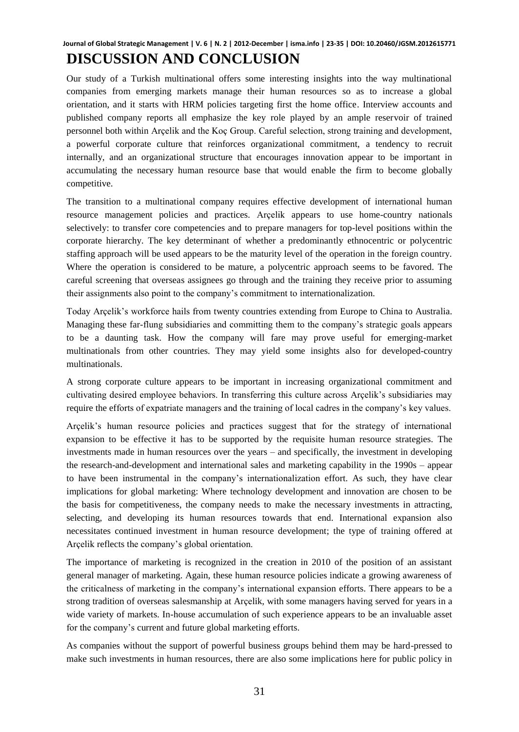# **DISCUSSION AND CONCLUSION**

Our study of a Turkish multinational offers some interesting insights into the way multinational companies from emerging markets manage their human resources so as to increase a global orientation, and it starts with HRM policies targeting first the home office. Interview accounts and published company reports all emphasize the key role played by an ample reservoir of trained personnel both within Arçelik and the Koç Group. Careful selection, strong training and development, a powerful corporate culture that reinforces organizational commitment, a tendency to recruit internally, and an organizational structure that encourages innovation appear to be important in accumulating the necessary human resource base that would enable the firm to become globally competitive.

The transition to a multinational company requires effective development of international human resource management policies and practices. Arçelik appears to use home-country nationals selectively: to transfer core competencies and to prepare managers for top-level positions within the corporate hierarchy. The key determinant of whether a predominantly ethnocentric or polycentric staffing approach will be used appears to be the maturity level of the operation in the foreign country. Where the operation is considered to be mature, a polycentric approach seems to be favored. The careful screening that overseas assignees go through and the training they receive prior to assuming their assignments also point to the company's commitment to internationalization.

Today Arçelik's workforce hails from twenty countries extending from Europe to China to Australia. Managing these far-flung subsidiaries and committing them to the company's strategic goals appears to be a daunting task. How the company will fare may prove useful for emerging-market multinationals from other countries. They may yield some insights also for developed-country multinationals.

A strong corporate culture appears to be important in increasing organizational commitment and cultivating desired employee behaviors. In transferring this culture across Arçelik's subsidiaries may require the efforts of expatriate managers and the training of local cadres in the company's key values.

Arçelik's human resource policies and practices suggest that for the strategy of international expansion to be effective it has to be supported by the requisite human resource strategies. The investments made in human resources over the years – and specifically, the investment in developing the research-and-development and international sales and marketing capability in the 1990s – appear to have been instrumental in the company's internationalization effort. As such, they have clear implications for global marketing: Where technology development and innovation are chosen to be the basis for competitiveness, the company needs to make the necessary investments in attracting, selecting, and developing its human resources towards that end. International expansion also necessitates continued investment in human resource development; the type of training offered at Arçelik reflects the company's global orientation.

The importance of marketing is recognized in the creation in 2010 of the position of an assistant general manager of marketing. Again, these human resource policies indicate a growing awareness of the criticalness of marketing in the company's international expansion efforts. There appears to be a strong tradition of overseas salesmanship at Arçelik, with some managers having served for years in a wide variety of markets. In-house accumulation of such experience appears to be an invaluable asset for the company's current and future global marketing efforts.

As companies without the support of powerful business groups behind them may be hard-pressed to make such investments in human resources, there are also some implications here for public policy in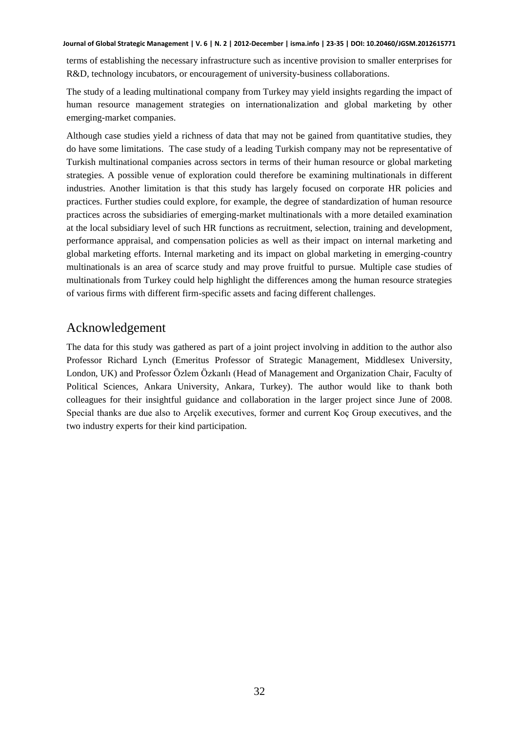terms of establishing the necessary infrastructure such as incentive provision to smaller enterprises for R&D, technology incubators, or encouragement of university-business collaborations.

The study of a leading multinational company from Turkey may yield insights regarding the impact of human resource management strategies on internationalization and global marketing by other emerging-market companies.

Although case studies yield a richness of data that may not be gained from quantitative studies, they do have some limitations. The case study of a leading Turkish company may not be representative of Turkish multinational companies across sectors in terms of their human resource or global marketing strategies. A possible venue of exploration could therefore be examining multinationals in different industries. Another limitation is that this study has largely focused on corporate HR policies and practices. Further studies could explore, for example, the degree of standardization of human resource practices across the subsidiaries of emerging-market multinationals with a more detailed examination at the local subsidiary level of such HR functions as recruitment, selection, training and development, performance appraisal, and compensation policies as well as their impact on internal marketing and global marketing efforts. Internal marketing and its impact on global marketing in emerging-country multinationals is an area of scarce study and may prove fruitful to pursue. Multiple case studies of multinationals from Turkey could help highlight the differences among the human resource strategies of various firms with different firm-specific assets and facing different challenges.

### Acknowledgement

The data for this study was gathered as part of a joint project involving in addition to the author also Professor Richard Lynch (Emeritus Professor of Strategic Management, Middlesex University, London, UK) and Professor Özlem Özkanlı (Head of Management and Organization Chair, Faculty of Political Sciences, Ankara University, Ankara, Turkey). The author would like to thank both colleagues for their insightful guidance and collaboration in the larger project since June of 2008. Special thanks are due also to Arçelik executives, former and current Koç Group executives, and the two industry experts for their kind participation.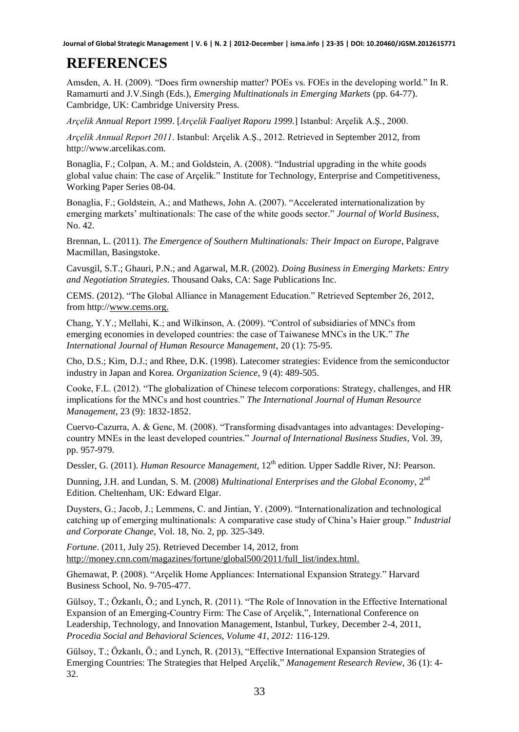# **REFERENCES**

Amsden, A. H. (2009). "Does firm ownership matter? POEs vs. FOEs in the developing world." In R. Ramamurti and J.V.Singh (Eds.), *Emerging Multinationals in Emerging Markets* (pp. 64-77). Cambridge, UK: Cambridge University Press.

*Arçelik Annual Report 1999*. [*Arçelik Faaliyet Raporu 1999.*] Istanbul: Arçelik A.Ş., 2000.

*Arçelik Annual Report 2011*. Istanbul: Arçelik A.Ş., 2012. Retrieved in September 2012, from http:/[/www.arcelikas.com.](http://www.arcelikas.com/)

Bonaglia, F.; Colpan, A. M.; and Goldstein, A. (2008). "Industrial upgrading in the white goods global value chain: The case of Arçelik." Institute for Technology, Enterprise and Competitiveness, Working Paper Series 08-04.

Bonaglia, F.; Goldstein, A.; and Mathews, John A. (2007). "Accelerated internationalization by emerging markets' multinationals: The case of the white goods sector." *Journal of World Business*, No. 42.

Brennan, L. (2011). *The Emergence of Southern Multinationals: Their Impact on Europe*, Palgrave Macmillan, Basingstoke.

Cavusgil, S.T.; Ghauri, P.N.; and Agarwal, M.R. (2002). *Doing Business in Emerging Markets: Entry and Negotiation Strategies*. Thousand Oaks, CA: Sage Publications Inc.

CEMS. (2012). "The Global Alliance in Management Education." Retrieved September 26, 2012, from http:/[/www.cems.org.](http://www.cems.com/) 

Chang, Y.Y.; Mellahi, K.; and Wilkinson, A. (2009). "Control of subsidiaries of MNCs from emerging economies in developed countries: the case of Taiwanese MNCs in the UK." *The International Journal of Human Resource Management*, 20 (1): 75-95.

Cho, D.S.; Kim, D.J.; and Rhee, D.K. (1998). Latecomer strategies: Evidence from the semiconductor industry in Japan and Korea. *Organization Science*, 9 (4): 489-505.

Cooke, F.L. (2012). "The globalization of Chinese telecom corporations: Strategy, challenges, and HR implications for the MNCs and host countries." *The International Journal of Human Resource Management*, 23 (9): 1832-1852.

Cuervo-Cazurra, A. & Genc, M. (2008). "Transforming disadvantages into advantages: Developingcountry MNEs in the least developed countries." *Journal of International Business Studies*, Vol. 39, pp. 957-979.

Dessler, G. (2011). *Human Resource Management*, 12<sup>th</sup> edition. Upper Saddle River, NJ: Pearson.

Dunning, J.H. and Lundan, S. M. (2008) *Multinational Enterprises and the Global Economy*, 2nd Edition. Cheltenham, UK: Edward Elgar.

Duysters, G.; Jacob, J.; Lemmens, C. and Jintian, Y. (2009). "Internationalization and technological catching up of emerging multinationals: A comparative case study of China's Haier group." *Industrial and Corporate Change*, Vol. 18, No. 2, pp. 325-349.

*Fortune*. (2011, July 25). Retrieved December 14, 2012, from [http://money.cnn.com/magazines/fortune/global500/2011/full\\_list/index.html.](http://money.cnn.com/magazines/fortune/global500/2011/full_list/index.html)

Ghemawat, P. (2008). "Arçelik Home Appliances: International Expansion Strategy." Harvard Business School, No. 9-705-477.

Gülsoy, T.; Özkanlı, Ö.; and Lynch, R. (2011). "The Role of Innovation in the Effective International Expansion of an Emerging-Country Firm: The Case of Arçelik,"*,* International Conference on Leadership, Technology, and Innovation Management, Istanbul, Turkey, December 2-4, 2011, *Procedia Social and Behavioral Sciences, Volume 41, 2012:* 116-129.

Gülsoy, T.; Özkanlı, Ö.; and Lynch, R. (2013), "Effective International Expansion Strategies of Emerging Countries: The Strategies that Helped Arçelik," *Management Research Review*, 36 (1): 4- 32.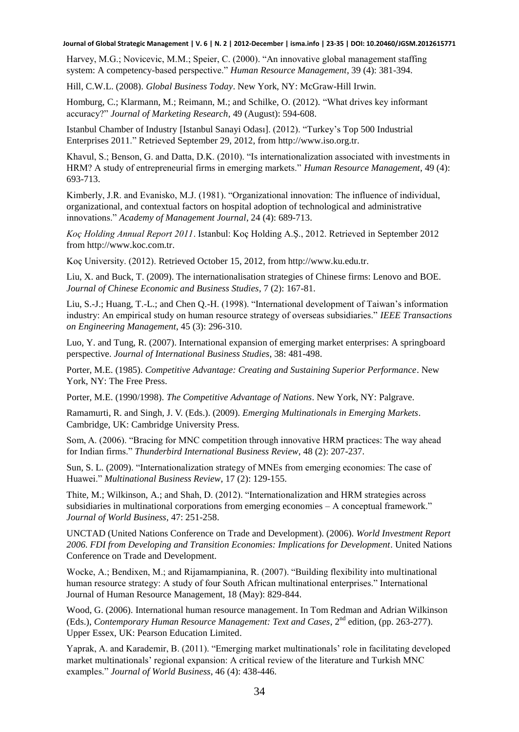Harvey, M.G.; Novicevic, M.M.; Speier, C. (2000). "An innovative global management staffing system: A competency-based perspective." *Human Resource Management*, 39 (4): 381-394.

Hill, C.W.L. (2008). *Global Business Today*. New York, NY: McGraw-Hill Irwin.

Homburg, C.; Klarmann, M.; Reimann, M.; and Schilke, O. (2012). "What drives key informant accuracy?" *Journal of Marketing Research*, 49 (August): 594-608.

Istanbul Chamber of Industry [Istanbul Sanayi Odası]. (2012). "Turkey's Top 500 Industrial Enterprises 2011." Retrieved September 29, 2012, from http:/[/www.iso.org.tr.](http://www.iso.org.tr/)

Khavul, S.; Benson, G. and Datta, D.K. (2010). "Is internationalization associated with investments in HRM? A study of entrepreneurial firms in emerging markets." *Human Resource Management*, 49 (4): 693-713.

Kimberly, J.R. and Evanisko, M.J. (1981). "Organizational innovation: The influence of individual, organizational, and contextual factors on hospital adoption of technological and administrative innovations." *Academy of Management Journal*, 24 (4): 689-713.

*Koç Holding Annual Report 2011*. Istanbul: Koç Holding A.Ş., 2012. Retrieved in September 2012 from http:/[/www.koc.com.tr.](http://www.koc.com.tr/)

Koç University. (2012). Retrieved October 15, 2012, from http:/[/www.ku.edu.tr.](http://www.ku.edu.tr/)

Liu, X. and Buck, T. (2009). The internationalisation strategies of Chinese firms: Lenovo and BOE. *Journal of Chinese Economic and Business Studies*, 7 (2): 167-81.

Liu, S.-J.; Huang, T.-L.; and Chen Q.-H. (1998). "International development of Taiwan's information industry: An empirical study on human resource strategy of overseas subsidiaries." *IEEE Transactions on Engineering Management*, 45 (3): 296-310.

Luo, Y. and Tung, R. (2007). International expansion of emerging market enterprises: A springboard perspective. *Journal of International Business Studies*, 38: 481-498.

Porter, M.E. (1985). *Competitive Advantage: Creating and Sustaining Superior Performance*. New York, NY: The Free Press.

Porter, M.E. (1990/1998). *The Competitive Advantage of Nations*. New York, NY: Palgrave.

Ramamurti, R. and Singh, J. V. (Eds.). (2009). *Emerging Multinationals in Emerging Markets*. Cambridge, UK: Cambridge University Press.

Som, A. (2006). "Bracing for MNC competition through innovative HRM practices: The way ahead for Indian firms." *Thunderbird International Business Review*, 48 (2): 207-237.

Sun, S. L. (2009). "Internationalization strategy of MNEs from emerging economies: The case of Huawei." *Multinational Business Review*, 17 (2): 129-155.

Thite, M.; Wilkinson, A.; and Shah, D. (2012). "Internationalization and HRM strategies across subsidiaries in multinational corporations from emerging economies – A conceptual framework." *Journal of World Business*, 47: 251-258.

UNCTAD (United Nations Conference on Trade and Development). (2006). *World Investment Report 2006. FDI from Developing and Transition Economies: Implications for Development*. United Nations Conference on Trade and Development.

Wocke, A.; Bendixen, M.; and Rijamampianina, R. (2007). "Building flexibility into multinational human resource strategy: A study of four South African multinational enterprises." International Journal of Human Resource Management, 18 (May): 829-844.

Wood, G. (2006). International human resource management. In Tom Redman and Adrian Wilkinson (Eds.), *Contemporary Human Resource Management: Text and Cases*, 2nd edition, (pp. 263-277). Upper Essex, UK: Pearson Education Limited.

Yaprak, A. and Karademir, B. (2011). "Emerging market multinationals' role in facilitating developed market multinationals' regional expansion: A critical review of the literature and Turkish MNC examples." *Journal of World Business*, 46 (4): 438-446.